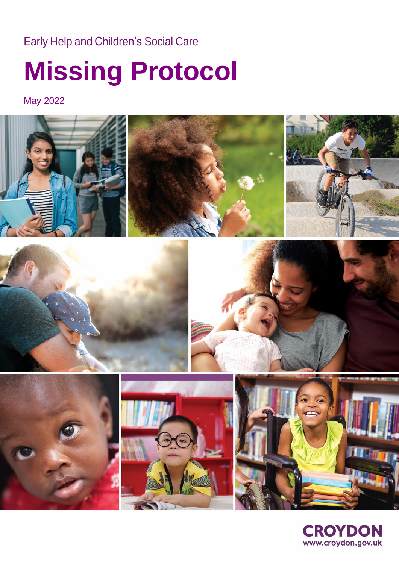## Early Help and Children's Social Care

# **Missing Protocol**

May 2022



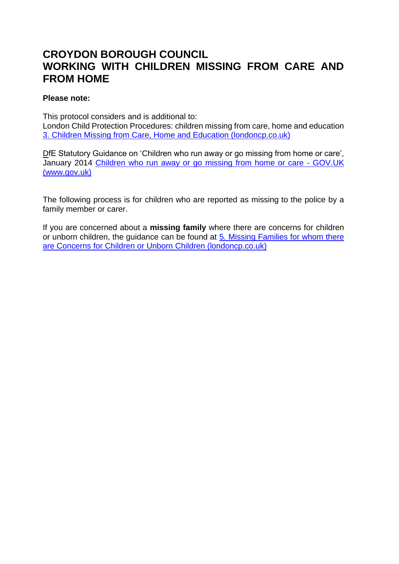### **CROYDON BOROUGH COUNCIL WORKING WITH CHILDREN MISSING FROM CARE AND FROM HOME**

#### **Please note:**

This protocol considers and is additional to: London Child Protection Procedures: children missing from care, home and education [3. Children Missing from Care, Home and Education \(londoncp.co.uk\)](https://www.londoncp.co.uk/ch_miss_care_home_sch.html?zoom_highlight=missing)

DfE Statutory Guidance on 'Children who run away or go missing from home or care', January 2014 [Children who run away or go missing from home or care -](https://www.gov.uk/government/publications/children-who-run-away-or-go-missing-from-home-or-care) GOV.UK [\(www.gov.uk\)](https://www.gov.uk/government/publications/children-who-run-away-or-go-missing-from-home-or-care)

The following process is for children who are reported as missing to the police by a family member or carer.

If you are concerned about a **missing family** where there are concerns for children or unborn children, the guidance can be found at [5. Missing Families for whom there](https://www.londoncp.co.uk/missing_fam_unborn_ch.html?zoom_highlight=missing)  [are Concerns for Children or Unborn Children \(londoncp.co.uk\)](https://www.londoncp.co.uk/missing_fam_unborn_ch.html?zoom_highlight=missing)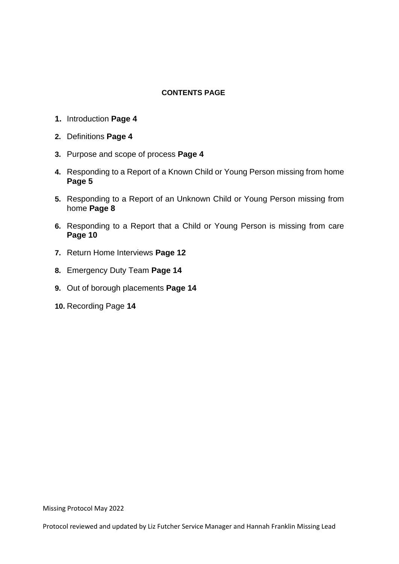#### **CONTENTS PAGE**

- **1.** Introduction **Page 4**
- **2.** Definitions **Page 4**
- **3.** Purpose and scope of process **Page 4**
- **4.** Responding to a Report of a Known Child or Young Person missing from home **Page 5**
- **5.** Responding to a Report of an Unknown Child or Young Person missing from home **Page 8**
- **6.** Responding to a Report that a Child or Young Person is missing from care **Page 10**
- **7.** Return Home Interviews **Page 12**
- **8.** Emergency Duty Team **Page 14**
- **9.** Out of borough placements **Page 14**
- **10.** Recording Page **14**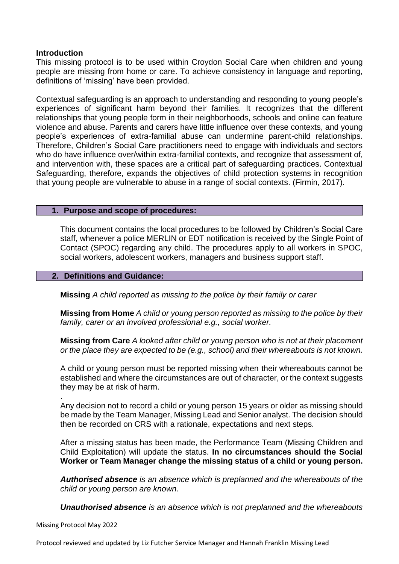#### **Introduction**

This missing protocol is to be used within Croydon Social Care when children and young people are missing from home or care. To achieve consistency in language and reporting, definitions of 'missing' have been provided.

Contextual safeguarding is an approach to understanding and responding to young people's experiences of significant harm beyond their families. It recognizes that the different relationships that young people form in their neighborhoods, schools and online can feature violence and abuse. Parents and carers have little influence over these contexts, and young people's experiences of extra-familial abuse can undermine parent-child relationships. Therefore, Children's Social Care practitioners need to engage with individuals and sectors who do have influence over/within extra-familial contexts, and recognize that assessment of, and intervention with, these spaces are a critical part of safeguarding practices. Contextual Safeguarding, therefore, expands the objectives of child protection systems in recognition that young people are vulnerable to abuse in a range of social contexts. (Firmin, 2017).

#### **1. Purpose and scope of procedures:**

This document contains the local procedures to be followed by Children's Social Care staff, whenever a police MERLIN or EDT notification is received by the Single Point of Contact (SPOC) regarding any child. The procedures apply to all workers in SPOC, social workers, adolescent workers, managers and business support staff.

#### **2. Definitions and Guidance:**

**Missing** *A child reported as missing to the police by their family or carer*

**Missing from Home** *A child or young person reported as missing to the police by their family, carer or an involved professional e.g., social worker.*

**Missing from Care** *A looked after child or young person who is not at their placement or the place they are expected to be (e.g., school) and their whereabouts is not known.* 

A child or young person must be reported missing when their whereabouts cannot be established and where the circumstances are out of character, or the context suggests they may be at risk of harm.

. Any decision not to record a child or young person 15 years or older as missing should be made by the Team Manager, Missing Lead and Senior analyst. The decision should then be recorded on CRS with a rationale, expectations and next steps*.*

After a missing status has been made, the Performance Team (Missing Children and Child Exploitation) will update the status. **In no circumstances should the Social Worker or Team Manager change the missing status of a child or young person.**

*Authorised absence is an absence which is preplanned and the whereabouts of the child or young person are known.*

*Unauthorised absence is an absence which is not preplanned and the whereabouts* 

Missing Protocol May 2022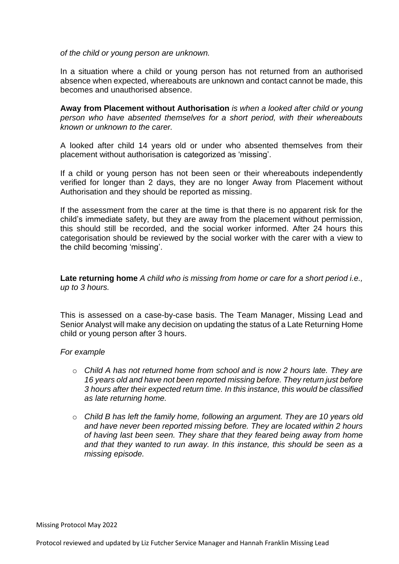*of the child or young person are unknown.* 

In a situation where a child or young person has not returned from an authorised absence when expected, whereabouts are unknown and contact cannot be made, this becomes and unauthorised absence.

**Away from Placement without Authorisation** *is when a looked after child or young person who have absented themselves for a short period, with their whereabouts known or unknown to the carer.* 

A looked after child 14 years old or under who absented themselves from their placement without authorisation is categorized as 'missing'.

If a child or young person has not been seen or their whereabouts independently verified for longer than 2 days, they are no longer Away from Placement without Authorisation and they should be reported as missing.

If the assessment from the carer at the time is that there is no apparent risk for the child's immediate safety, but they are away from the placement without permission, this should still be recorded, and the social worker informed. After 24 hours this categorisation should be reviewed by the social worker with the carer with a view to the child becoming 'missing'.

**Late returning home** *A child who is missing from home or care for a short period i.e., up to 3 hours.* 

This is assessed on a case-by-case basis. The Team Manager, Missing Lead and Senior Analyst will make any decision on updating the status of a Late Returning Home child or young person after 3 hours.

#### *For example*

- o *Child A has not returned home from school and is now 2 hours late. They are 16 years old and have not been reported missing before. They return just before 3 hours after their expected return time. In this instance, this would be classified as late returning home.*
- o *Child B has left the family home, following an argument. They are 10 years old and have never been reported missing before. They are located within 2 hours of having last been seen. They share that they feared being away from home and that they wanted to run away. In this instance, this should be seen as a missing episode.*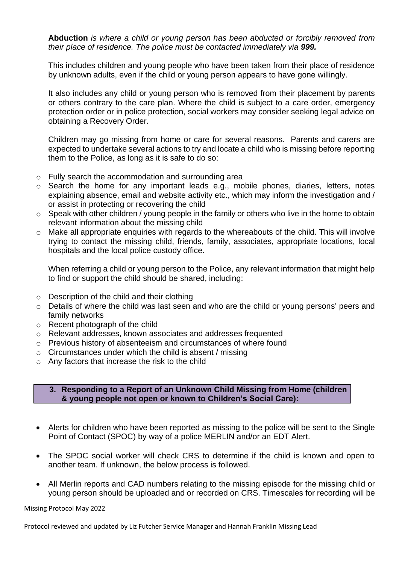**Abduction** *is where a child or young person has been abducted or forcibly removed from their place of residence. The police must be contacted immediately via 999.*

This includes children and young people who have been taken from their place of residence by unknown adults, even if the child or young person appears to have gone willingly.

It also includes any child or young person who is removed from their placement by parents or others contrary to the care plan. Where the child is subject to a care order, emergency protection order or in police protection, social workers may consider seeking legal advice on obtaining a Recovery Order.

Children may go missing from home or care for several reasons. Parents and carers are expected to undertake several actions to try and locate a child who is missing before reporting them to the Police, as long as it is safe to do so:

- o Fully search the accommodation and surrounding area
- o Search the home for any important leads e.g., mobile phones, diaries, letters, notes explaining absence, email and website activity etc., which may inform the investigation and / or assist in protecting or recovering the child
- $\circ$  Speak with other children / young people in the family or others who live in the home to obtain relevant information about the missing child
- o Make all appropriate enquiries with regards to the whereabouts of the child. This will involve trying to contact the missing child, friends, family, associates, appropriate locations, local hospitals and the local police custody office.

When referring a child or young person to the Police, any relevant information that might help to find or support the child should be shared, including:

- o Description of the child and their clothing
- o Details of where the child was last seen and who are the child or young persons' peers and family networks
- o Recent photograph of the child
- o Relevant addresses, known associates and addresses frequented
- o Previous history of absenteeism and circumstances of where found
- $\circ$  Circumstances under which the child is absent / missing
- o Any factors that increase the risk to the child

#### **3. Responding to a Report of an Unknown Child Missing from Home (children & young people not open or known to Children's Social Care):**

- Alerts for children who have been reported as missing to the police will be sent to the Single Point of Contact (SPOC) by way of a police MERLIN and/or an EDT Alert.
- The SPOC social worker will check CRS to determine if the child is known and open to another team. If unknown, the below process is followed.
- All Merlin reports and CAD numbers relating to the missing episode for the missing child or young person should be uploaded and or recorded on CRS. Timescales for recording will be

Missing Protocol May 2022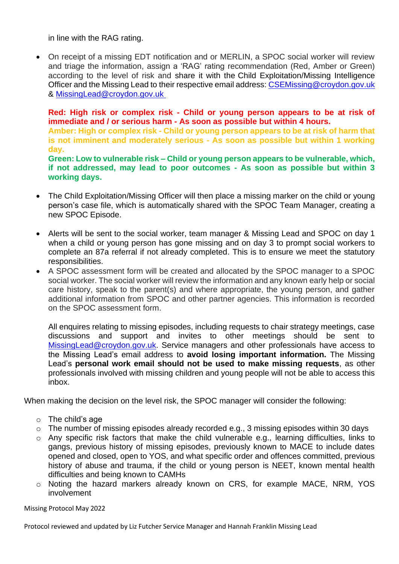in line with the RAG rating.

• On receipt of a missing EDT notification and or MERLIN, a SPOC social worker will review and triage the information, assign a 'RAG' rating recommendation (Red, Amber or Green) according to the level of risk and share it with the Child Exploitation/Missing Intelligence Officer and the Missing Lead to their respective email address: [CSEMissing@croydon.gov.uk](mailto:CSEMissing@croydon.gov.uk) & [MissingLead@croydon.gov.uk](mailto:MissingLead@croydon.gov.uk)

**Red: High risk or complex risk - Child or young person appears to be at risk of immediate and / or serious harm - As soon as possible but within 4 hours.** 

**Amber: High or complex risk - Child or young person appears to be at risk of harm that is not imminent and moderately serious - As soon as possible but within 1 working day.**

**Green: Low to vulnerable risk – Child or young person appears to be vulnerable, which, if not addressed, may lead to poor outcomes - As soon as possible but within 3 working days.**

- The Child Exploitation/Missing Officer will then place a missing marker on the child or young person's case file, which is automatically shared with the SPOC Team Manager, creating a new SPOC Episode.
- Alerts will be sent to the social worker, team manager & Missing Lead and SPOC on day 1 when a child or young person has gone missing and on day 3 to prompt social workers to complete an 87a referral if not already completed. This is to ensure we meet the statutory responsibilities.
- A SPOC assessment form will be created and allocated by the SPOC manager to a SPOC social worker. The social worker will review the information and any known early help or social care history, speak to the parent(s) and where appropriate, the young person, and gather additional information from SPOC and other partner agencies. This information is recorded on the SPOC assessment form.

All enquires relating to missing episodes, including requests to chair strategy meetings, case discussions and support and invites to other meetings should be sent to [MissingLead@croydon.gov.uk.](mailto:MissingLead@croydon.gov.uk) Service managers and other professionals have access to the Missing Lead's email address to **avoid losing important information.** The Missing Lead's **personal work email should not be used to make missing requests**, as other professionals involved with missing children and young people will not be able to access this inbox.

When making the decision on the level risk, the SPOC manager will consider the following:

- $\circ$  The child's age
- o The number of missing episodes already recorded e.g., 3 missing episodes within 30 days
- o Any specific risk factors that make the child vulnerable e.g., learning difficulties, links to gangs, previous history of missing episodes, previously known to MACE to include dates opened and closed, open to YOS, and what specific order and offences committed, previous history of abuse and trauma, if the child or young person is NEET, known mental health difficulties and being known to CAMHs
- o Noting the hazard markers already known on CRS, for example MACE, NRM, YOS involvement

Missing Protocol May 2022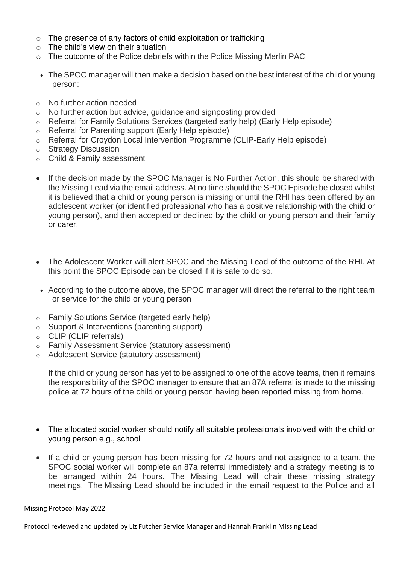- o The presence of any factors of child exploitation or trafficking
- $\circ$  The child's view on their situation
- o The outcome of the Police debriefs within the Police Missing Merlin PAC
- The SPOC manager will then make a decision based on the best interest of the child or young person:
- o No further action needed
- o No further action but advice, guidance and signposting provided
- o Referral for Family Solutions Services (targeted early help) (Early Help episode)
- o Referral for Parenting support (Early Help episode)
- o Referral for Croydon Local Intervention Programme (CLIP-Early Help episode)
- o Strategy Discussion
- o Child & Family assessment
- If the decision made by the SPOC Manager is No Further Action, this should be shared with the Missing Lead via the email address. At no time should the SPOC Episode be closed whilst it is believed that a child or young person is missing or until the RHI has been offered by an adolescent worker (or identified professional who has a positive relationship with the child or young person), and then accepted or declined by the child or young person and their family or carer.
- The Adolescent Worker will alert SPOC and the Missing Lead of the outcome of the RHI. At this point the SPOC Episode can be closed if it is safe to do so.
- According to the outcome above, the SPOC manager will direct the referral to the right team or service for the child or young person
- o Family Solutions Service (targeted early help)
- o Support & Interventions (parenting support)
- o CLIP (CLIP referrals)
- o Family Assessment Service (statutory assessment)
- o Adolescent Service (statutory assessment)

If the child or young person has yet to be assigned to one of the above teams, then it remains the responsibility of the SPOC manager to ensure that an 87A referral is made to the missing police at 72 hours of the child or young person having been reported missing from home.

- The allocated social worker should notify all suitable professionals involved with the child or young person e.g., school
- If a child or young person has been missing for 72 hours and not assigned to a team, the SPOC social worker will complete an 87a referral immediately and a strategy meeting is to be arranged within 24 hours. The Missing Lead will chair these missing strategy meetings. The Missing Lead should be included in the email request to the Police and all

Missing Protocol May 2022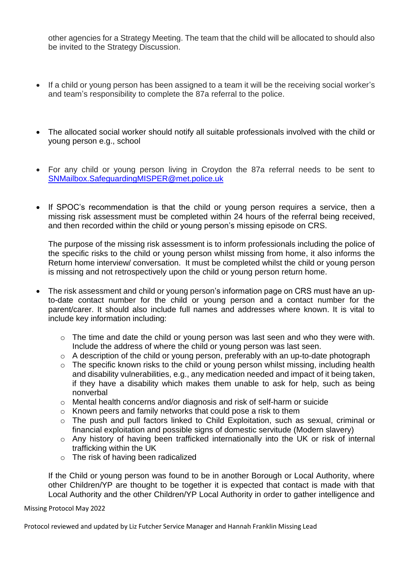other agencies for a Strategy Meeting. The team that the child will be allocated to should also be invited to the Strategy Discussion.

- If a child or young person has been assigned to a team it will be the receiving social worker's and team's responsibility to complete the 87a referral to the police.
- The allocated social worker should notify all suitable professionals involved with the child or young person e.g., school
- For any child or young person living in Croydon the 87a referral needs to be sent to [SNMailbox.SafeguardingMISPER@met.police.uk](mailto:SNMailbox.SafeguardingMISPER@met.police.uk)
- If SPOC's recommendation is that the child or young person requires a service, then a missing risk assessment must be completed within 24 hours of the referral being received, and then recorded within the child or young person's missing episode on CRS.

The purpose of the missing risk assessment is to inform professionals including the police of the specific risks to the child or young person whilst missing from home, it also informs the Return home interview/ conversation. It must be completed whilst the child or young person is missing and not retrospectively upon the child or young person return home.

- The risk assessment and child or young person's information page on CRS must have an upto-date contact number for the child or young person and a contact number for the parent/carer. It should also include full names and addresses where known. It is vital to include key information including:
	- o The time and date the child or young person was last seen and who they were with. Include the address of where the child or young person was last seen.
	- o A description of the child or young person, preferably with an up-to-date photograph
	- o The specific known risks to the child or young person whilst missing, including health and disability vulnerabilities, e.g., any medication needed and impact of it being taken, if they have a disability which makes them unable to ask for help, such as being nonverbal
	- o Mental health concerns and/or diagnosis and risk of self-harm or suicide
	- o Known peers and family networks that could pose a risk to them
	- o The push and pull factors linked to Child Exploitation, such as sexual, criminal or financial exploitation and possible signs of domestic servitude (Modern slavery)
	- o Any history of having been trafficked internationally into the UK or risk of internal trafficking within the UK
	- o The risk of having been radicalized

If the Child or young person was found to be in another Borough or Local Authority, where other Children/YP are thought to be together it is expected that contact is made with that Local Authority and the other Children/YP Local Authority in order to gather intelligence and

Missing Protocol May 2022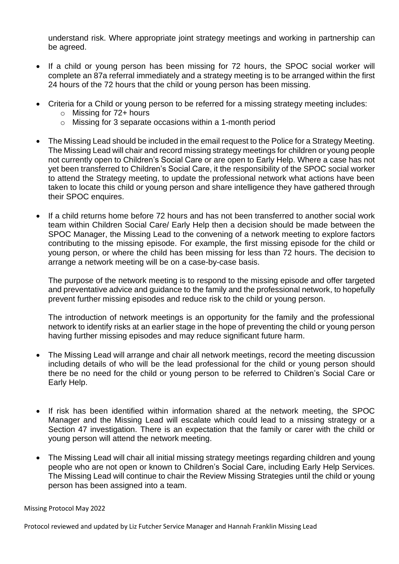understand risk. Where appropriate joint strategy meetings and working in partnership can be agreed.

- If a child or young person has been missing for 72 hours, the SPOC social worker will complete an 87a referral immediately and a strategy meeting is to be arranged within the first 24 hours of the 72 hours that the child or young person has been missing.
- Criteria for a Child or young person to be referred for a missing strategy meeting includes:
	- $\circ$  Missing for 72+ hours
	- o Missing for 3 separate occasions within a 1-month period
- The Missing Lead should be included in the email request to the Police for a Strategy Meeting. The Missing Lead will chair and record missing strategy meetings for children or young people not currently open to Children's Social Care or are open to Early Help. Where a case has not yet been transferred to Children's Social Care, it the responsibility of the SPOC social worker to attend the Strategy meeting, to update the professional network what actions have been taken to locate this child or young person and share intelligence they have gathered through their SPOC enquires.
- If a child returns home before 72 hours and has not been transferred to another social work team within Children Social Care/ Early Help then a decision should be made between the SPOC Manager, the Missing Lead to the convening of a network meeting to explore factors contributing to the missing episode. For example, the first missing episode for the child or young person, or where the child has been missing for less than 72 hours. The decision to arrange a network meeting will be on a case-by-case basis.

The purpose of the network meeting is to respond to the missing episode and offer targeted and preventative advice and guidance to the family and the professional network, to hopefully prevent further missing episodes and reduce risk to the child or young person.

The introduction of network meetings is an opportunity for the family and the professional network to identify risks at an earlier stage in the hope of preventing the child or young person having further missing episodes and may reduce significant future harm.

- The Missing Lead will arrange and chair all network meetings, record the meeting discussion including details of who will be the lead professional for the child or young person should there be no need for the child or young person to be referred to Children's Social Care or Early Help.
- If risk has been identified within information shared at the network meeting, the SPOC Manager and the Missing Lead will escalate which could lead to a missing strategy or a Section 47 investigation. There is an expectation that the family or carer with the child or young person will attend the network meeting.
- The Missing Lead will chair all initial missing strategy meetings regarding children and young people who are not open or known to Children's Social Care, including Early Help Services. The Missing Lead will continue to chair the Review Missing Strategies until the child or young person has been assigned into a team.

#### Missing Protocol May 2022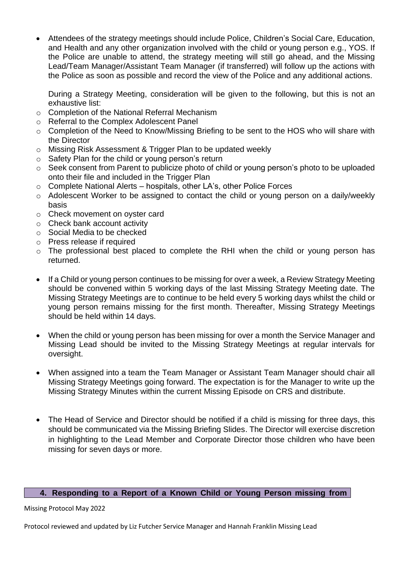• Attendees of the strategy meetings should include Police, Children's Social Care, Education, and Health and any other organization involved with the child or young person e.g., YOS. If the Police are unable to attend, the strategy meeting will still go ahead, and the Missing Lead/Team Manager/Assistant Team Manager (if transferred) will follow up the actions with the Police as soon as possible and record the view of the Police and any additional actions.

During a Strategy Meeting, consideration will be given to the following, but this is not an exhaustive list:

- o Completion of the National Referral Mechanism
- o Referral to the Complex Adolescent Panel
- o Completion of the Need to Know/Missing Briefing to be sent to the HOS who will share with the Director
- o Missing Risk Assessment & Trigger Plan to be updated weekly
- o Safety Plan for the child or young person's return
- o Seek consent from Parent to publicize photo of child or young person's photo to be uploaded onto their file and included in the Trigger Plan
- o Complete National Alerts hospitals, other LA's, other Police Forces
- o Adolescent Worker to be assigned to contact the child or young person on a daily/weekly basis
- o Check movement on oyster card
- o Check bank account activity
- o Social Media to be checked
- o Press release if required
- o The professional best placed to complete the RHI when the child or young person has returned.
- If a Child or young person continues to be missing for over a week, a Review Strategy Meeting should be convened within 5 working days of the last Missing Strategy Meeting date. The Missing Strategy Meetings are to continue to be held every 5 working days whilst the child or young person remains missing for the first month. Thereafter, Missing Strategy Meetings should be held within 14 days.
- When the child or young person has been missing for over a month the Service Manager and Missing Lead should be invited to the Missing Strategy Meetings at regular intervals for oversight.
- When assigned into a team the Team Manager or Assistant Team Manager should chair all Missing Strategy Meetings going forward. The expectation is for the Manager to write up the Missing Strategy Minutes within the current Missing Episode on CRS and distribute.
- The Head of Service and Director should be notified if a child is missing for three days, this should be communicated via the Missing Briefing Slides. The Director will exercise discretion in highlighting to the Lead Member and Corporate Director those children who have been missing for seven days or more.

#### **4. Responding to a Report of a Known Child or Young Person missing from**

Missing Protocol May 2022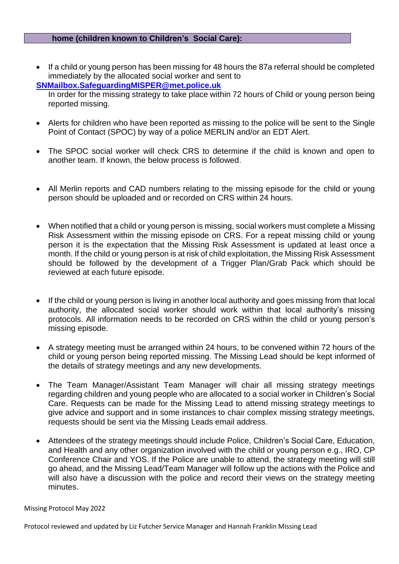#### **home (children known to Children's Social Care):**

• If a child or young person has been missing for 48 hours the 87a referral should be completed immediately by the allocated social worker and sent to **[SNMailbox.SafeguardingMISPER@met.police.uk](mailto:SNMailbox.SafeguardingMISPER@met.police.uk)**

In order for the missing strategy to take place within 72 hours of Child or young person being reported missing.

- Alerts for children who have been reported as missing to the police will be sent to the Single Point of Contact (SPOC) by way of a police MERLIN and/or an EDT Alert.
- The SPOC social worker will check CRS to determine if the child is known and open to another team. If known, the below process is followed.
- All Merlin reports and CAD numbers relating to the missing episode for the child or young person should be uploaded and or recorded on CRS within 24 hours.
- When notified that a child or young person is missing, social workers must complete a Missing Risk Assessment within the missing episode on CRS. For a repeat missing child or young person it is the expectation that the Missing Risk Assessment is updated at least once a month. If the child or young person is at risk of child exploitation, the Missing Risk Assessment should be followed by the development of a Trigger Plan/Grab Pack which should be reviewed at each future episode.
- If the child or young person is living in another local authority and goes missing from that local authority, the allocated social worker should work within that local authority's missing protocols. All information needs to be recorded on CRS within the child or young person's missing episode.
- A strategy meeting must be arranged within 24 hours, to be convened within 72 hours of the child or young person being reported missing. The Missing Lead should be kept informed of the details of strategy meetings and any new developments.
- The Team Manager/Assistant Team Manager will chair all missing strategy meetings regarding children and young people who are allocated to a social worker in Children's Social Care. Requests can be made for the Missing Lead to attend missing strategy meetings to give advice and support and in some instances to chair complex missing strategy meetings, requests should be sent via the Missing Leads email address.
- Attendees of the strategy meetings should include Police, Children's Social Care, Education, and Health and any other organization involved with the child or young person e.g., IRO, CP Conference Chair and YOS. If the Police are unable to attend, the strategy meeting will still go ahead, and the Missing Lead/Team Manager will follow up the actions with the Police and will also have a discussion with the police and record their views on the strategy meeting minutes.

Missing Protocol May 2022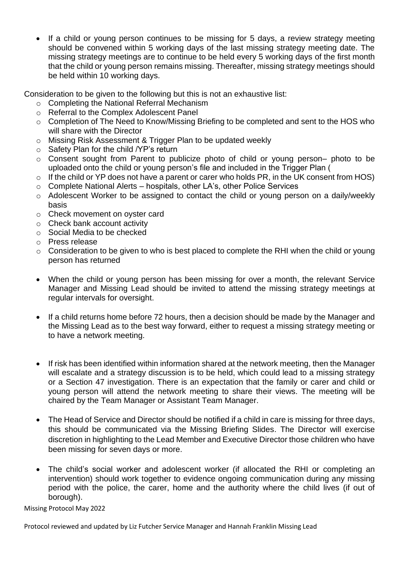If a child or young person continues to be missing for 5 days, a review strategy meeting should be convened within 5 working days of the last missing strategy meeting date. The missing strategy meetings are to continue to be held every 5 working days of the first month that the child or young person remains missing. Thereafter, missing strategy meetings should be held within 10 working days.

Consideration to be given to the following but this is not an exhaustive list:

- o Completing the National Referral Mechanism
- o Referral to the Complex Adolescent Panel
- o Completion of The Need to Know/Missing Briefing to be completed and sent to the HOS who will share with the Director
- o Missing Risk Assessment & Trigger Plan to be updated weekly
- o Safety Plan for the child /YP's return
- o Consent sought from Parent to publicize photo of child or young person– photo to be uploaded onto the child or young person's file and included in the Trigger Plan (
- $\circ$  If the child or YP does not have a parent or carer who holds PR, in the UK consent from HOS)
- o Complete National Alerts hospitals, other LA's, other Police Services
- o Adolescent Worker to be assigned to contact the child or young person on a daily/weekly basis
- o Check movement on oyster card
- o Check bank account activity
- o Social Media to be checked
- o Press release
- $\circ$  Consideration to be given to who is best placed to complete the RHI when the child or young person has returned
- When the child or young person has been missing for over a month, the relevant Service Manager and Missing Lead should be invited to attend the missing strategy meetings at regular intervals for oversight.
- If a child returns home before 72 hours, then a decision should be made by the Manager and the Missing Lead as to the best way forward, either to request a missing strategy meeting or to have a network meeting.
- If risk has been identified within information shared at the network meeting, then the Manager will escalate and a strategy discussion is to be held, which could lead to a missing strategy or a Section 47 investigation. There is an expectation that the family or carer and child or young person will attend the network meeting to share their views. The meeting will be chaired by the Team Manager or Assistant Team Manager.
- The Head of Service and Director should be notified if a child in care is missing for three days, this should be communicated via the Missing Briefing Slides. The Director will exercise discretion in highlighting to the Lead Member and Executive Director those children who have been missing for seven days or more.
- The child's social worker and adolescent worker (if allocated the RHI or completing an intervention) should work together to evidence ongoing communication during any missing period with the police, the carer, home and the authority where the child lives (if out of borough).

Missing Protocol May 2022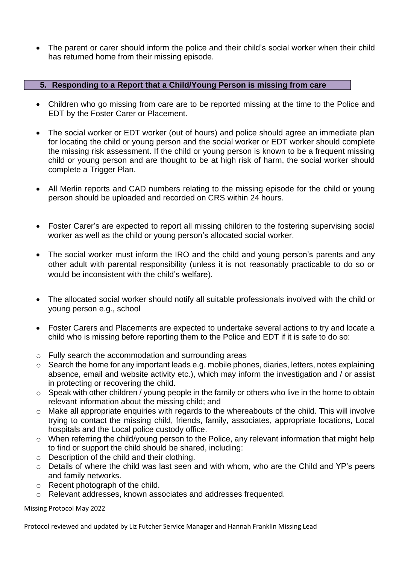• The parent or carer should inform the police and their child's social worker when their child has returned home from their missing episode.

#### **5. Responding to a Report that a Child/Young Person is missing from care**

- Children who go missing from care are to be reported missing at the time to the Police and EDT by the Foster Carer or Placement.
- The social worker or EDT worker (out of hours) and police should agree an immediate plan for locating the child or young person and the social worker or EDT worker should complete the missing risk assessment. If the child or young person is known to be a frequent missing child or young person and are thought to be at high risk of harm, the social worker should complete a Trigger Plan.
- All Merlin reports and CAD numbers relating to the missing episode for the child or young person should be uploaded and recorded on CRS within 24 hours.
- Foster Carer's are expected to report all missing children to the fostering supervising social worker as well as the child or young person's allocated social worker.
- The social worker must inform the IRO and the child and young person's parents and any other adult with parental responsibility (unless it is not reasonably practicable to do so or would be inconsistent with the child's welfare).
- The allocated social worker should notify all suitable professionals involved with the child or young person e.g., school
- Foster Carers and Placements are expected to undertake several actions to try and locate a child who is missing before reporting them to the Police and EDT if it is safe to do so:
- o Fully search the accommodation and surrounding areas
- $\circ$  Search the home for any important leads e.g. mobile phones, diaries, letters, notes explaining absence, email and website activity etc.), which may inform the investigation and / or assist in protecting or recovering the child.
- o Speak with other children / young people in the family or others who live in the home to obtain relevant information about the missing child; and
- o Make all appropriate enquiries with regards to the whereabouts of the child. This will involve trying to contact the missing child, friends, family, associates, appropriate locations, Local hospitals and the Local police custody office.
- o When referring the child/young person to the Police, any relevant information that might help to find or support the child should be shared, including:
- $\circ$  Description of the child and their clothing.
- o Details of where the child was last seen and with whom, who are the Child and YP's peers and family networks.
- o Recent photograph of the child.
- o Relevant addresses, known associates and addresses frequented.

Missing Protocol May 2022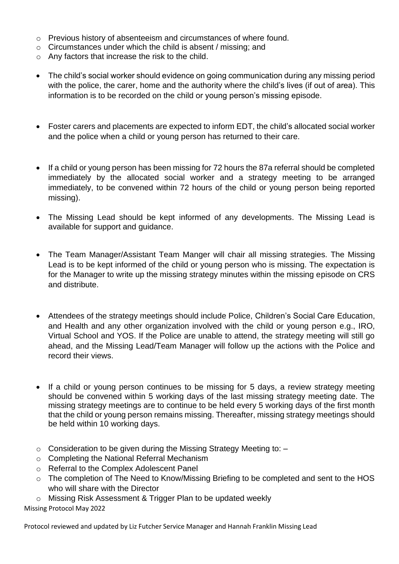- o Previous history of absenteeism and circumstances of where found.
- o Circumstances under which the child is absent / missing; and
- o Any factors that increase the risk to the child.
- The child's social worker should evidence on going communication during any missing period with the police, the carer, home and the authority where the child's lives (if out of area). This information is to be recorded on the child or young person's missing episode.
- Foster carers and placements are expected to inform EDT, the child's allocated social worker and the police when a child or young person has returned to their care.
- If a child or young person has been missing for 72 hours the 87a referral should be completed immediately by the allocated social worker and a strategy meeting to be arranged immediately, to be convened within 72 hours of the child or young person being reported missing).
- The Missing Lead should be kept informed of any developments. The Missing Lead is available for support and guidance.
- The Team Manager/Assistant Team Manger will chair all missing strategies. The Missing Lead is to be kept informed of the child or young person who is missing. The expectation is for the Manager to write up the missing strategy minutes within the missing episode on CRS and distribute.
- Attendees of the strategy meetings should include Police, Children's Social Care Education, and Health and any other organization involved with the child or young person e.g., IRO, Virtual School and YOS. If the Police are unable to attend, the strategy meeting will still go ahead, and the Missing Lead/Team Manager will follow up the actions with the Police and record their views.
- If a child or young person continues to be missing for 5 days, a review strategy meeting should be convened within 5 working days of the last missing strategy meeting date. The missing strategy meetings are to continue to be held every 5 working days of the first month that the child or young person remains missing. Thereafter, missing strategy meetings should be held within 10 working days.
- $\circ$  Consideration to be given during the Missing Strategy Meeting to:  $-$
- o Completing the National Referral Mechanism
- o Referral to the Complex Adolescent Panel
- o The completion of The Need to Know/Missing Briefing to be completed and sent to the HOS who will share with the Director
- o Missing Risk Assessment & Trigger Plan to be updated weekly

Missing Protocol May 2022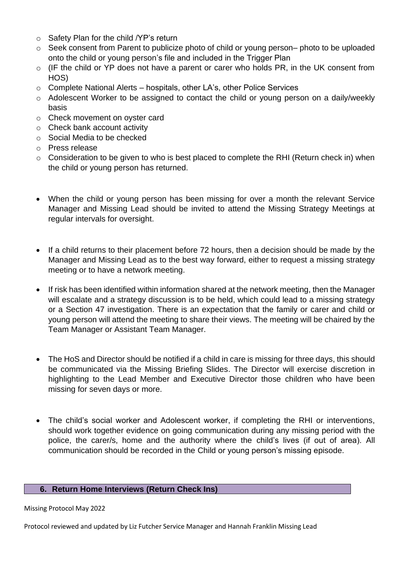- o Safety Plan for the child /YP's return
- o Seek consent from Parent to publicize photo of child or young person– photo to be uploaded onto the child or young person's file and included in the Trigger Plan
- o (IF the child or YP does not have a parent or carer who holds PR, in the UK consent from HOS)
- o Complete National Alerts hospitals, other LA's, other Police Services
- o Adolescent Worker to be assigned to contact the child or young person on a daily/weekly basis
- o Check movement on oyster card
- o Check bank account activity
- o Social Media to be checked
- o Press release
- o Consideration to be given to who is best placed to complete the RHI (Return check in) when the child or young person has returned.
- When the child or young person has been missing for over a month the relevant Service Manager and Missing Lead should be invited to attend the Missing Strategy Meetings at regular intervals for oversight.
- If a child returns to their placement before 72 hours, then a decision should be made by the Manager and Missing Lead as to the best way forward, either to request a missing strategy meeting or to have a network meeting.
- If risk has been identified within information shared at the network meeting, then the Manager will escalate and a strategy discussion is to be held, which could lead to a missing strategy or a Section 47 investigation. There is an expectation that the family or carer and child or young person will attend the meeting to share their views. The meeting will be chaired by the Team Manager or Assistant Team Manager.
- The HoS and Director should be notified if a child in care is missing for three days, this should be communicated via the Missing Briefing Slides. The Director will exercise discretion in highlighting to the Lead Member and Executive Director those children who have been missing for seven days or more.
- The child's social worker and Adolescent worker, if completing the RHI or interventions, should work together evidence on going communication during any missing period with the police, the carer/s, home and the authority where the child's lives (if out of area). All communication should be recorded in the Child or young person's missing episode.

#### **6. Return Home Interviews (Return Check Ins)**

Missing Protocol May 2022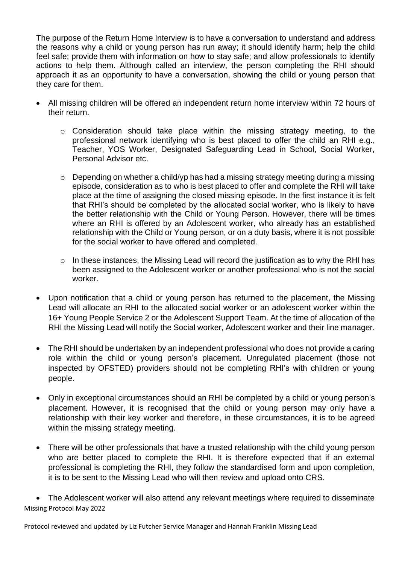The purpose of the Return Home Interview is to have a conversation to understand and address the reasons why a child or young person has run away; it should identify harm; help the child feel safe; provide them with information on how to stay safe; and allow professionals to identify actions to help them. Although called an interview, the person completing the RHI should approach it as an opportunity to have a conversation, showing the child or young person that they care for them.

- All missing children will be offered an independent return home interview within 72 hours of their return.
	- o Consideration should take place within the missing strategy meeting, to the professional network identifying who is best placed to offer the child an RHI e.g., Teacher, YOS Worker, Designated Safeguarding Lead in School, Social Worker, Personal Advisor etc.
	- o Depending on whether a child/yp has had a missing strategy meeting during a missing episode, consideration as to who is best placed to offer and complete the RHI will take place at the time of assigning the closed missing episode. In the first instance it is felt that RHI's should be completed by the allocated social worker, who is likely to have the better relationship with the Child or Young Person. However, there will be times where an RHI is offered by an Adolescent worker, who already has an established relationship with the Child or Young person, or on a duty basis, where it is not possible for the social worker to have offered and completed.
	- o In these instances, the Missing Lead will record the justification as to why the RHI has been assigned to the Adolescent worker or another professional who is not the social worker.
- Upon notification that a child or young person has returned to the placement, the Missing Lead will allocate an RHI to the allocated social worker or an adolescent worker within the 16+ Young People Service 2 or the Adolescent Support Team. At the time of allocation of the RHI the Missing Lead will notify the Social worker, Adolescent worker and their line manager.
- The RHI should be undertaken by an independent professional who does not provide a caring role within the child or young person's placement. Unregulated placement (those not inspected by OFSTED) providers should not be completing RHI's with children or young people.
- Only in exceptional circumstances should an RHI be completed by a child or young person's placement. However, it is recognised that the child or young person may only have a relationship with their key worker and therefore, in these circumstances, it is to be agreed within the missing strategy meeting.
- There will be other professionals that have a trusted relationship with the child young person who are better placed to complete the RHI. It is therefore expected that if an external professional is completing the RHI, they follow the standardised form and upon completion, it is to be sent to the Missing Lead who will then review and upload onto CRS.

Missing Protocol May 2022 • The Adolescent worker will also attend any relevant meetings where required to disseminate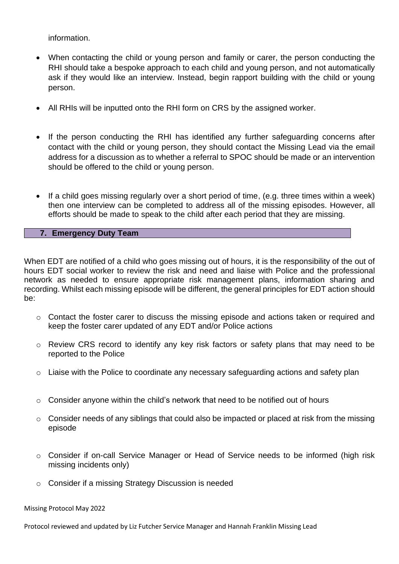information.

- When contacting the child or young person and family or carer, the person conducting the RHI should take a bespoke approach to each child and young person, and not automatically ask if they would like an interview. Instead, begin rapport building with the child or young person.
- All RHIs will be inputted onto the RHI form on CRS by the assigned worker.
- If the person conducting the RHI has identified any further safeguarding concerns after contact with the child or young person, they should contact the Missing Lead via the email address for a discussion as to whether a referral to SPOC should be made or an intervention should be offered to the child or young person.
- If a child goes missing regularly over a short period of time, (e.g. three times within a week) then one interview can be completed to address all of the missing episodes. However, all efforts should be made to speak to the child after each period that they are missing.

#### **7. Emergency Duty Team**

When EDT are notified of a child who goes missing out of hours, it is the responsibility of the out of hours EDT social worker to review the risk and need and liaise with Police and the professional network as needed to ensure appropriate risk management plans, information sharing and recording. Whilst each missing episode will be different, the general principles for EDT action should be:

- o Contact the foster carer to discuss the missing episode and actions taken or required and keep the foster carer updated of any EDT and/or Police actions
- o Review CRS record to identify any key risk factors or safety plans that may need to be reported to the Police
- o Liaise with the Police to coordinate any necessary safeguarding actions and safety plan
- o Consider anyone within the child's network that need to be notified out of hours
- o Consider needs of any siblings that could also be impacted or placed at risk from the missing episode
- o Consider if on-call Service Manager or Head of Service needs to be informed (high risk missing incidents only)
- o Consider if a missing Strategy Discussion is needed

#### Missing Protocol May 2022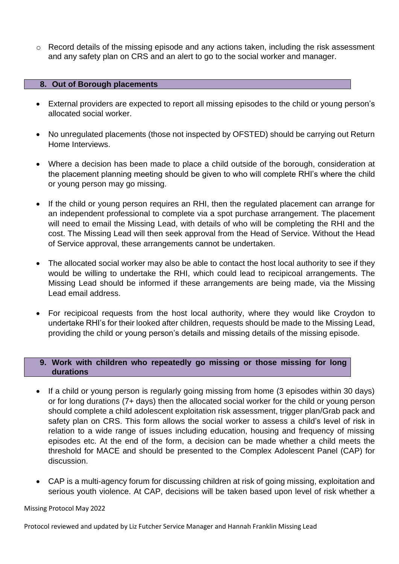o Record details of the missing episode and any actions taken, including the risk assessment and any safety plan on CRS and an alert to go to the social worker and manager.

#### **8. Out of Borough placements**

- External providers are expected to report all missing episodes to the child or young person's allocated social worker.
- No unregulated placements (those not inspected by OFSTED) should be carrying out Return Home Interviews.
- Where a decision has been made to place a child outside of the borough, consideration at the placement planning meeting should be given to who will complete RHI's where the child or young person may go missing.
- If the child or young person requires an RHI, then the regulated placement can arrange for an independent professional to complete via a spot purchase arrangement. The placement will need to email the Missing Lead, with details of who will be completing the RHI and the cost. The Missing Lead will then seek approval from the Head of Service. Without the Head of Service approval, these arrangements cannot be undertaken.
- The allocated social worker may also be able to contact the host local authority to see if they would be willing to undertake the RHI, which could lead to recipicoal arrangements. The Missing Lead should be informed if these arrangements are being made, via the Missing Lead email address.
- For recipicoal requests from the host local authority, where they would like Croydon to undertake RHI's for their looked after children, requests should be made to the Missing Lead, providing the child or young person's details and missing details of the missing episode.

#### **9. Work with children who repeatedly go missing or those missing for long durations**

- If a child or young person is regularly going missing from home (3 episodes within 30 days) or for long durations (7+ days) then the allocated social worker for the child or young person should complete a child adolescent exploitation risk assessment, trigger plan/Grab pack and safety plan on CRS. This form allows the social worker to assess a child's level of risk in relation to a wide range of issues including education, housing and frequency of missing episodes etc. At the end of the form, a decision can be made whether a child meets the threshold for MACE and should be presented to the Complex Adolescent Panel (CAP) for discussion.
- CAP is a multi-agency forum for discussing children at risk of going missing, exploitation and serious youth violence. At CAP, decisions will be taken based upon level of risk whether a

#### Missing Protocol May 2022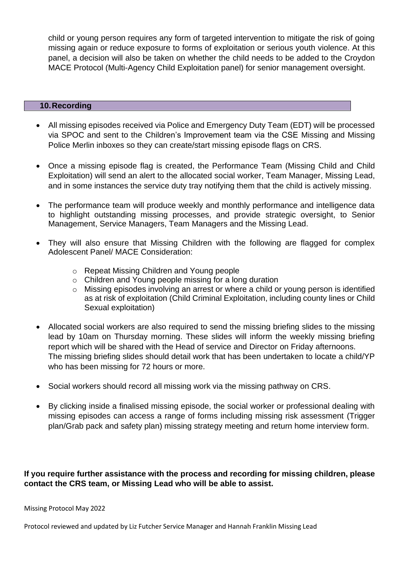child or young person requires any form of targeted intervention to mitigate the risk of going missing again or reduce exposure to forms of exploitation or serious youth violence. At this panel, a decision will also be taken on whether the child needs to be added to the Croydon MACE Protocol (Multi-Agency Child Exploitation panel) for senior management oversight.

#### **10.Recording**

- All missing episodes received via Police and Emergency Duty Team (EDT) will be processed via SPOC and sent to the Children's Improvement team via the CSE Missing and Missing Police Merlin inboxes so they can create/start missing episode flags on CRS.
- Once a missing episode flag is created, the Performance Team (Missing Child and Child Exploitation) will send an alert to the allocated social worker, Team Manager, Missing Lead, and in some instances the service duty tray notifying them that the child is actively missing.
- The performance team will produce weekly and monthly performance and intelligence data to highlight outstanding missing processes, and provide strategic oversight, to Senior Management, Service Managers, Team Managers and the Missing Lead.
- They will also ensure that Missing Children with the following are flagged for complex Adolescent Panel/ MACE Consideration:
	- o Repeat Missing Children and Young people
	- o Children and Young people missing for a long duration
	- o Missing episodes involving an arrest or where a child or young person is identified as at risk of exploitation (Child Criminal Exploitation, including county lines or Child Sexual exploitation)
- Allocated social workers are also required to send the missing briefing slides to the missing lead by 10am on Thursday morning. These slides will inform the weekly missing briefing report which will be shared with the Head of service and Director on Friday afternoons. The missing briefing slides should detail work that has been undertaken to locate a child/YP who has been missing for 72 hours or more.
- Social workers should record all missing work via the missing pathway on CRS.
- By clicking inside a finalised missing episode, the social worker or professional dealing with missing episodes can access a range of forms including missing risk assessment (Trigger plan/Grab pack and safety plan) missing strategy meeting and return home interview form.

#### **If you require further assistance with the process and recording for missing children, please contact the CRS team, or Missing Lead who will be able to assist.**

#### Missing Protocol May 2022